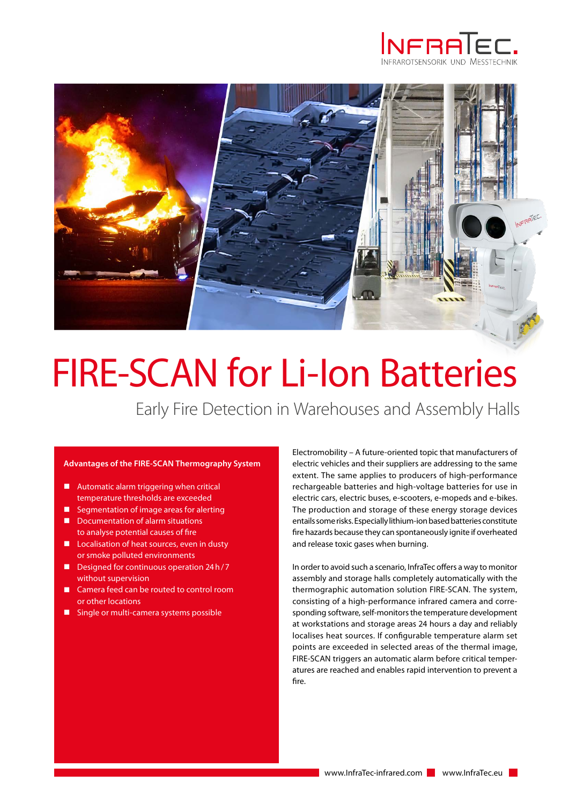



# FIRE-SCAN for Li-Ion Batteries

Early Fire Detection in Warehouses and Assembly Halls

### **Advantages of the FIRE-SCAN Thermography System**

- $\blacksquare$  Automatic alarm triggering when critical temperature thresholds are exceeded
- Segmentation of image areas for alerting
- Documentation of alarm situations to analyse potential causes of fire
- Localisation of heat sources, even in dusty or smoke polluted environments
- $\Box$  Designed for continuous operation 24h/7 without supervision
- � Camera feed can be routed to control room or other locations
- Single or multi-camera systems possible

Electromobility – A future-oriented topic that manufacturers of electric vehicles and their suppliers are addressing to the same extent. The same applies to producers of high-performance rechargeable batteries and high-voltage batteries for use in electric cars, electric buses, e-scooters, e-mopeds and e-bikes. The production and storage of these energy storage devices entails some risks. Especially lithium-ion based batteries constitute fire hazards because they can spontaneously ignite if overheated and release toxic gases when burning.

In order to avoid such a scenario, InfraTec offers a way to monitor assembly and storage halls completely automatically with the thermographic automation solution FIRE-SCAN. The system, consisting of a high-performance infrared camera and corresponding software, self-monitors the temperature development at workstations and storage areas 24 hours a day and reliably localises heat sources. If configurable temperature alarm set points are exceeded in selected areas of the thermal image, FIRE-SCAN triggers an automatic alarm before critical temperatures are reached and enables rapid intervention to prevent a fire.